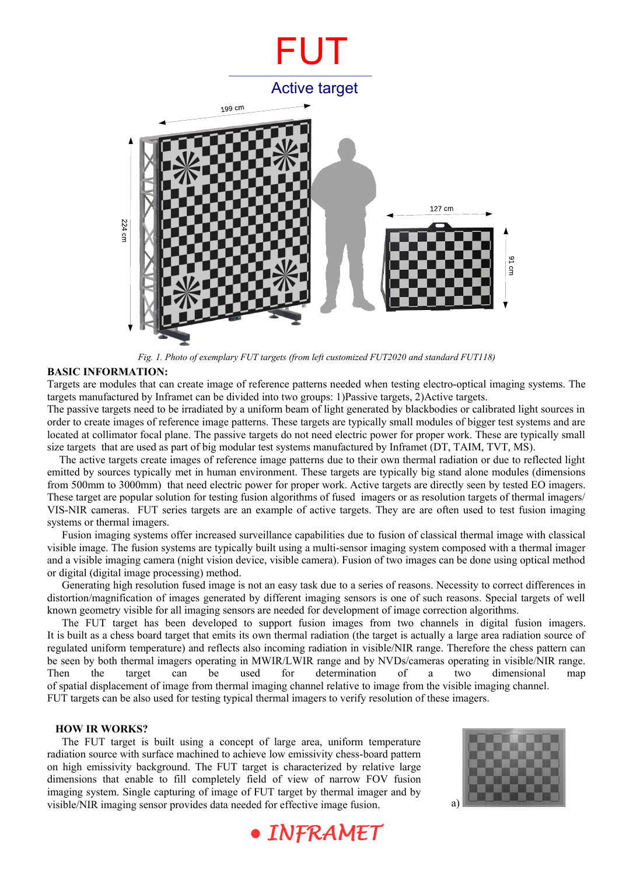## FUT Active target 199 cm 127 cm 224 cm **S**  $\overline{a}$

*Fig. 1. Photo of exemplary FUT targets (from left customized FUT2020 and standard FUT118)*

### **BASIC INFORMATION:**

Targets are modules that can create image of reference patterns needed when testing electro-optical imaging systems. The targets manufactured by Inframet can be divided into two groups: 1)Passive targets, 2)Active targets.

The passive targets need to be irradiated by a uniform beam of light generated by blackbodies or calibrated light sources in order to create images of reference image patterns. These targets are typically small modules of bigger test systems and are located at collimator focal plane. The passive targets do not need electric power for proper work. These are typically small size targets that are used as part of big modular test systems manufactured by Inframet (DT, TAIM, TVT, MS).

 The active targets create images of reference image patterns due to their own thermal radiation or due to reflected light emitted by sources typically met in human environment. These targets are typically big stand alone modules (dimensions from 500mm to 3000mm) that need electric power for proper work. Active targets are directly seen by tested EO imagers. These target are popular solution for testing fusion algorithms of fused imagers or as resolution targets of thermal imagers/ VIS-NIR cameras. FUT series targets are an example of active targets. They are are often used to test fusion imaging systems or thermal imagers.

Fusion imaging systems offer increased surveillance capabilities due to fusion of classical thermal image with classical visible image. The fusion systems are typically built using a multi-sensor imaging system composed with a thermal imager and a visible imaging camera (night vision device, visible camera). Fusion of two images can be done using optical method or digital (digital image processing) method.

Generating high resolution fused image is not an easy task due to a series of reasons. Necessity to correct differences in distortion/magnification of images generated by different imaging sensors is one of such reasons. Special targets of well known geometry visible for all imaging sensors are needed for development of image correction algorithms.

The FUT target has been developed to support fusion images from two channels in digital fusion imagers. It is built as a chess board target that emits its own thermal radiation (the target is actually a large area radiation source of regulated uniform temperature) and reflects also incoming radiation in visible/NIR range. Therefore the chess pattern can be seen by both thermal imagers operating in MWIR/LWIR range and by NVDs/cameras operating in visible/NIR range. Then the target can be used for determination of a two dimensional map of spatial displacement of image from thermal imaging channel relative to image from the visible imaging channel. FUT targets can be also used for testing typical thermal imagers to verify resolution of these imagers.

#### **HOW IR WORKS?**

The FUT target is built using a concept of large area, uniform temperature radiation source with surface machined to achieve low emissivity chess-board pattern on high emissivity background. The FUT target is characterized by relative large dimensions that enable to fill completely field of view of narrow FOV fusion imaging system. Single capturing of image of FUT target by thermal imager and by visible/NIR imaging sensor provides data needed for effective image fusion.